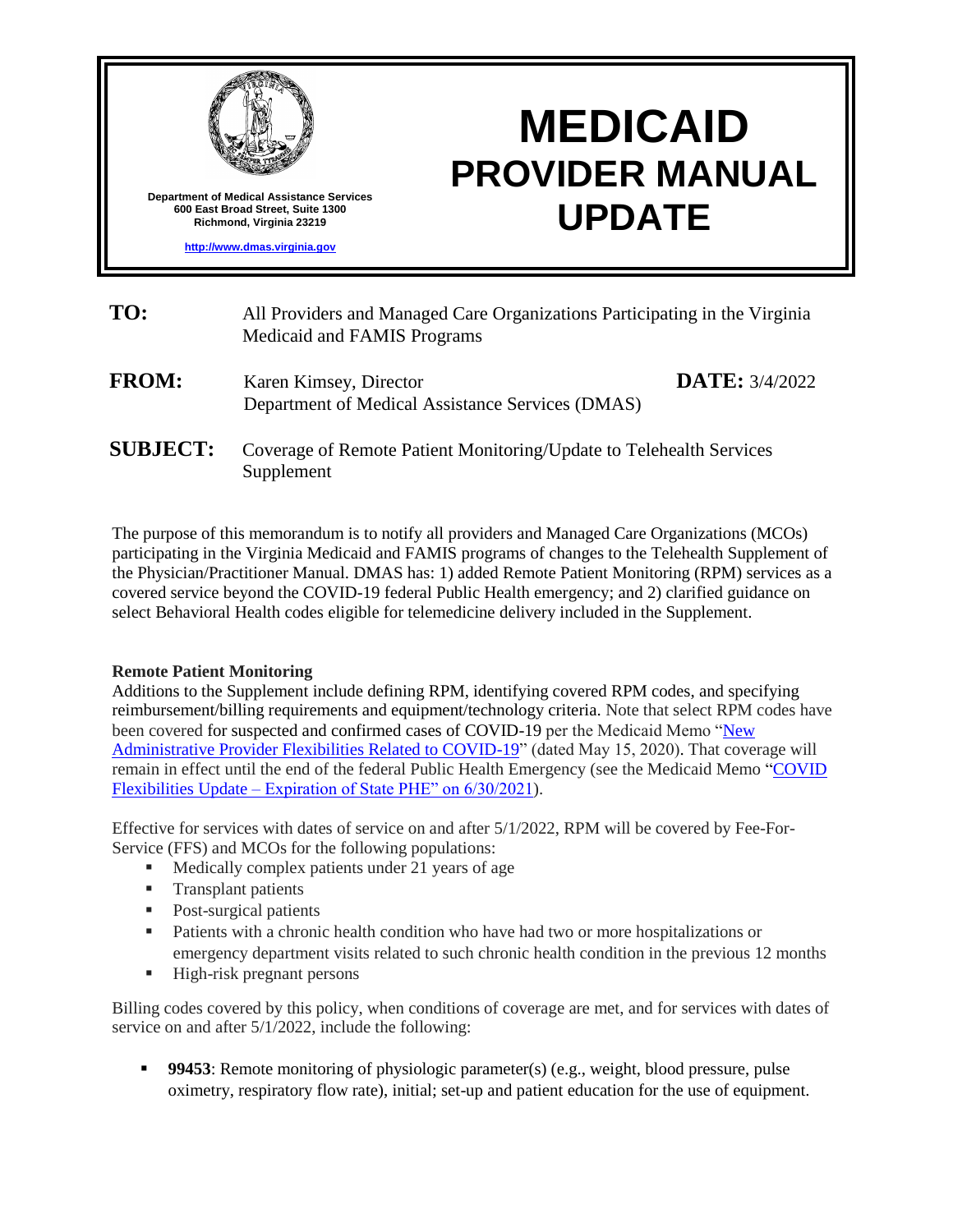

**[http://www.dmas.virginia.gov](http://www.dmas.virginia.gov/)**

## **MEDICAID PROVIDER MANUAL UPDATE**

| TO:             | All Providers and Managed Care Organizations Participating in the Virginia<br>Medicaid and FAMIS Programs |                                                                     |  |
|-----------------|-----------------------------------------------------------------------------------------------------------|---------------------------------------------------------------------|--|
| <b>FROM:</b>    | Karen Kimsey, Director<br>Department of Medical Assistance Services (DMAS)                                | <b>DATE:</b> 3/4/2022                                               |  |
| <b>SUBJECT:</b> | Supplement                                                                                                | Coverage of Remote Patient Monitoring/Update to Telehealth Services |  |

The purpose of this memorandum is to notify all providers and Managed Care Organizations (MCOs) participating in the Virginia Medicaid and FAMIS programs of changes to the Telehealth Supplement of the Physician/Practitioner Manual. DMAS has: 1) added Remote Patient Monitoring (RPM) services as a covered service beyond the COVID-19 federal Public Health emergency; and 2) clarified guidance on select Behavioral Health codes eligible for telemedicine delivery included in the Supplement.

## **Remote Patient Monitoring**

Additions to the Supplement include defining RPM, identifying covered RPM codes, and specifying reimbursement/billing requirements and equipment/technology criteria. Note that select RPM codes have been covered for suspected and confirmed cases of COVID-19 per the Medicaid Memo ["New](https://www.virginiamedicaid.dmas.virginia.gov/ECMPdfWeb/ECMServlet?memospdf=Medicaid+Memo+2020.05.15.pdf)  [Administrative Provider Flexibilities Related to COVID-19"](https://www.virginiamedicaid.dmas.virginia.gov/ECMPdfWeb/ECMServlet?memospdf=Medicaid+Memo+2020.05.15.pdf) (dated May 15, 2020). That coverage will remain in effect until the end of the federal Public Health Emergency (see the Medicaid Memo ["COVID](https://www.virginiamedicaid.dmas.virginia.gov/ECMPdfWeb/ECMServlet?memospdf=Medicaid+Memo+2021.06.30.pdf)  Flexibilities Update – [Expiration of State PHE" on 6/30/2021\)](https://www.virginiamedicaid.dmas.virginia.gov/ECMPdfWeb/ECMServlet?memospdf=Medicaid+Memo+2021.06.30.pdf).

Effective for services with dates of service on and after 5/1/2022, RPM will be covered by Fee-For-Service (FFS) and MCOs for the following populations:

- Medically complex patients under 21 years of age
- **Transplant patients**
- Post-surgical patients
- **Patients with a chronic health condition who have had two or more hospitalizations or** emergency department visits related to such chronic health condition in the previous 12 months
- $\blacksquare$  High-risk pregnant persons

Billing codes covered by this policy, when conditions of coverage are met, and for services with dates of service on and after 5/1/2022, include the following:

 **99453**: Remote monitoring of physiologic parameter(s) (e.g., weight, blood pressure, pulse oximetry, respiratory flow rate), initial; set-up and patient education for the use of equipment.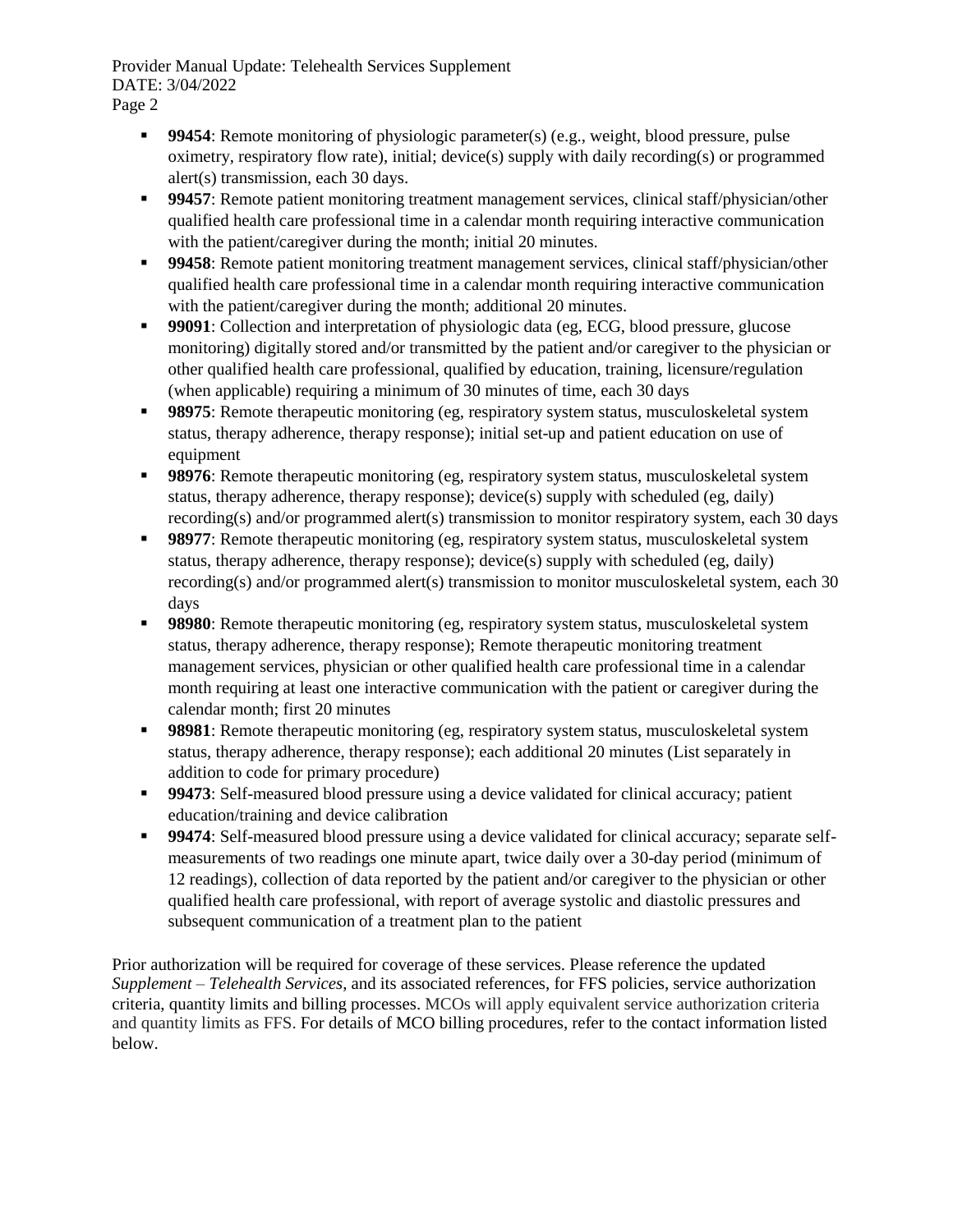Provider Manual Update: Telehealth Services Supplement DATE: 3/04/2022 Page 2

- **99454**: Remote monitoring of physiologic parameter(s) (e.g., weight, blood pressure, pulse oximetry, respiratory flow rate), initial; device(s) supply with daily recording(s) or programmed alert(s) transmission, each 30 days.
- **99457**: Remote patient monitoring treatment management services, clinical staff/physician/other qualified health care professional time in a calendar month requiring interactive communication with the patient/caregiver during the month; initial 20 minutes.
- **99458:** Remote patient monitoring treatment management services, clinical staff/physician/other qualified health care professional time in a calendar month requiring interactive communication with the patient/caregiver during the month; additional 20 minutes.
- **99091**: Collection and interpretation of physiologic data (eg, ECG, blood pressure, glucose monitoring) digitally stored and/or transmitted by the patient and/or caregiver to the physician or other qualified health care professional, qualified by education, training, licensure/regulation (when applicable) requiring a minimum of 30 minutes of time, each 30 days
- **98975**: Remote therapeutic monitoring (eg, respiratory system status, musculoskeletal system status, therapy adherence, therapy response); initial set-up and patient education on use of equipment
- **98976**: Remote therapeutic monitoring (eg, respiratory system status, musculoskeletal system status, therapy adherence, therapy response); device(s) supply with scheduled (eg, daily) recording(s) and/or programmed alert(s) transmission to monitor respiratory system, each 30 days
- **98977**: Remote therapeutic monitoring (eg, respiratory system status, musculoskeletal system status, therapy adherence, therapy response); device(s) supply with scheduled (eg, daily) recording(s) and/or programmed alert(s) transmission to monitor musculoskeletal system, each 30 days
- **98980**: Remote therapeutic monitoring (eg, respiratory system status, musculoskeletal system status, therapy adherence, therapy response); Remote therapeutic monitoring treatment management services, physician or other qualified health care professional time in a calendar month requiring at least one interactive communication with the patient or caregiver during the calendar month; first 20 minutes
- **98981**: Remote therapeutic monitoring (eg, respiratory system status, musculoskeletal system status, therapy adherence, therapy response); each additional 20 minutes (List separately in addition to code for primary procedure)
- **99473**: Self-measured blood pressure using a device validated for clinical accuracy; patient education/training and device calibration
- **99474**: Self-measured blood pressure using a device validated for clinical accuracy; separate selfmeasurements of two readings one minute apart, twice daily over a 30-day period (minimum of 12 readings), collection of data reported by the patient and/or caregiver to the physician or other qualified health care professional, with report of average systolic and diastolic pressures and subsequent communication of a treatment plan to the patient

Prior authorization will be required for coverage of these services. Please reference the updated *Supplement – Telehealth Services*, and its associated references, for FFS policies, service authorization criteria, quantity limits and billing processes. MCOs will apply equivalent service authorization criteria and quantity limits as FFS. For details of MCO billing procedures, refer to the contact information listed below.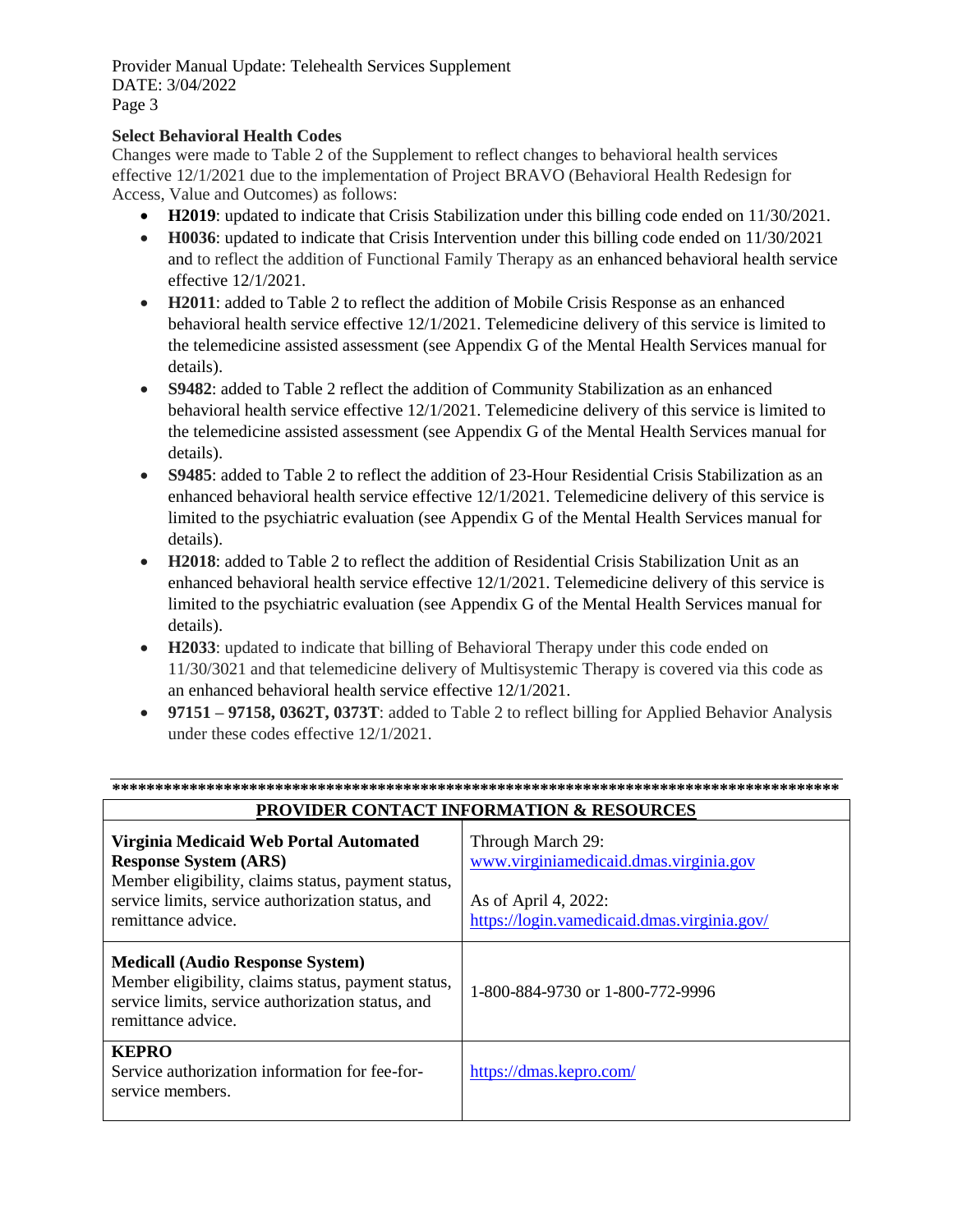Provider Manual Update: Telehealth Services Supplement DATE: 3/04/2022 Page 3

## **Select Behavioral Health Codes**

Changes were made to Table 2 of the Supplement to reflect changes to behavioral health services effective 12/1/2021 due to the implementation of Project BRAVO (Behavioral Health Redesign for Access, Value and Outcomes) as follows:

- **H2019**: updated to indicate that Crisis Stabilization under this billing code ended on 11/30/2021.
- H0036: updated to indicate that Crisis Intervention under this billing code ended on  $11/30/2021$ and to reflect the addition of Functional Family Therapy as an enhanced behavioral health service effective 12/1/2021.
- **H2011**: added to Table 2 to reflect the addition of Mobile Crisis Response as an enhanced behavioral health service effective 12/1/2021. Telemedicine delivery of this service is limited to the telemedicine assisted assessment (see Appendix G of the Mental Health Services manual for details).
- **S9482**: added to Table 2 reflect the addition of Community Stabilization as an enhanced behavioral health service effective 12/1/2021. Telemedicine delivery of this service is limited to the telemedicine assisted assessment (see Appendix G of the Mental Health Services manual for details).
- **S9485**: added to Table 2 to reflect the addition of 23-Hour Residential Crisis Stabilization as an enhanced behavioral health service effective 12/1/2021. Telemedicine delivery of this service is limited to the psychiatric evaluation (see Appendix G of the Mental Health Services manual for details).
- **H2018**: added to Table 2 to reflect the addition of Residential Crisis Stabilization Unit as an enhanced behavioral health service effective 12/1/2021. Telemedicine delivery of this service is limited to the psychiatric evaluation (see Appendix G of the Mental Health Services manual for details).
- **H2033**: updated to indicate that billing of Behavioral Therapy under this code ended on 11/30/3021 and that telemedicine delivery of Multisystemic Therapy is covered via this code as an enhanced behavioral health service effective 12/1/2021.
- **97151 – 97158, 0362T, 0373T**: added to Table 2 to reflect billing for Applied Behavior Analysis under these codes effective 12/1/2021.

| <b>PROVIDER CONTACT INFORMATION &amp; RESOURCES</b>                                                                                                                                                     |                                                                                                                                    |  |  |
|---------------------------------------------------------------------------------------------------------------------------------------------------------------------------------------------------------|------------------------------------------------------------------------------------------------------------------------------------|--|--|
| Virginia Medicaid Web Portal Automated<br><b>Response System (ARS)</b><br>Member eligibility, claims status, payment status,<br>service limits, service authorization status, and<br>remittance advice. | Through March 29:<br>www.virginiamedicaid.dmas.virginia.gov<br>As of April 4, 2022:<br>https://login.vamedicaid.dmas.virginia.gov/ |  |  |
| <b>Medicall (Audio Response System)</b><br>Member eligibility, claims status, payment status,<br>service limits, service authorization status, and<br>remittance advice.                                | 1-800-884-9730 or 1-800-772-9996                                                                                                   |  |  |
| <b>KEPRO</b><br>Service authorization information for fee-for-<br>service members.                                                                                                                      | https://dmas.kepro.com/                                                                                                            |  |  |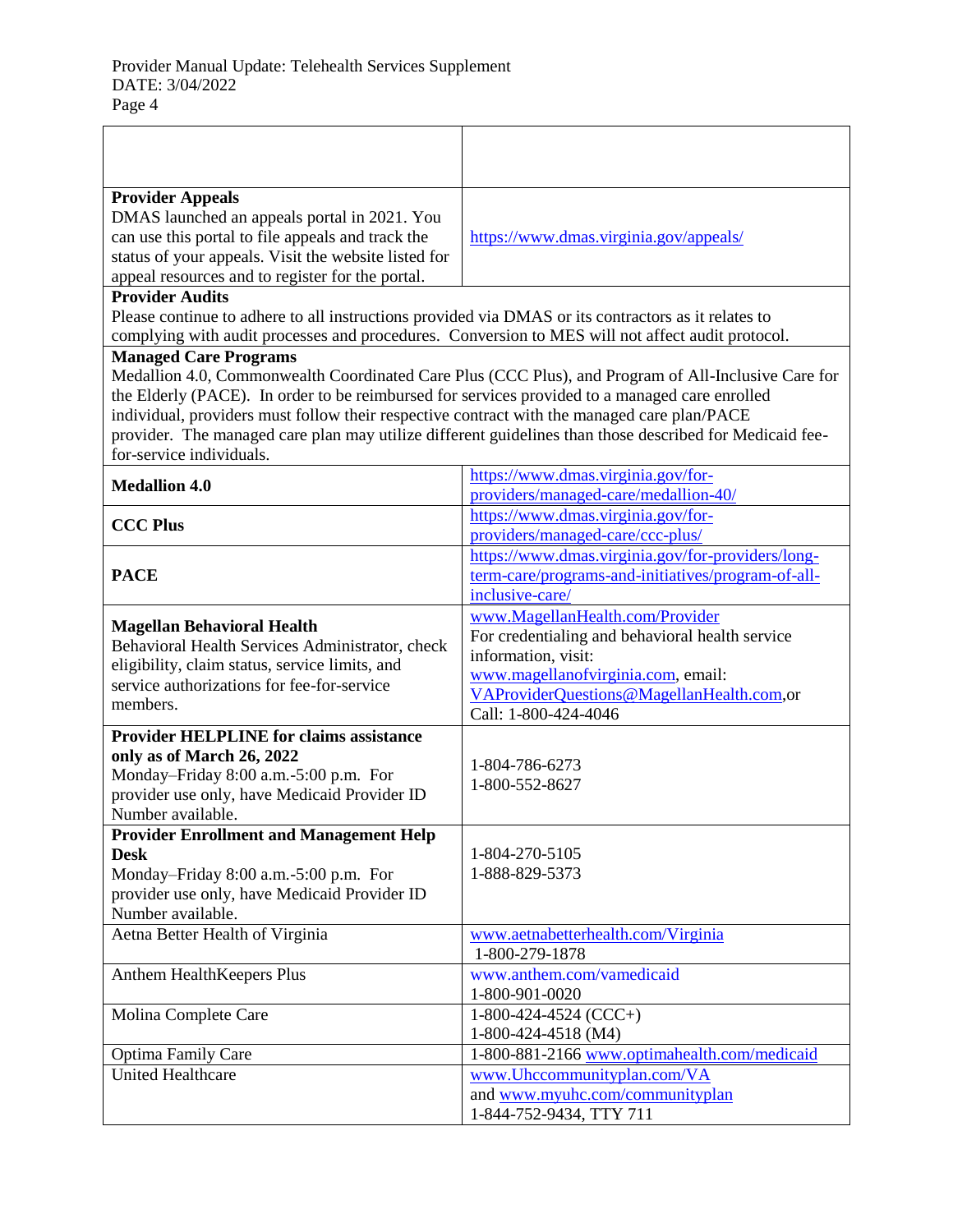| <b>Provider Appeals</b>                                                                             |                                                                                                         |  |  |  |
|-----------------------------------------------------------------------------------------------------|---------------------------------------------------------------------------------------------------------|--|--|--|
| DMAS launched an appeals portal in 2021. You                                                        |                                                                                                         |  |  |  |
| can use this portal to file appeals and track the                                                   | https://www.dmas.virginia.gov/appeals/                                                                  |  |  |  |
| status of your appeals. Visit the website listed for                                                |                                                                                                         |  |  |  |
| appeal resources and to register for the portal.                                                    |                                                                                                         |  |  |  |
| <b>Provider Audits</b>                                                                              |                                                                                                         |  |  |  |
| Please continue to adhere to all instructions provided via DMAS or its contractors as it relates to |                                                                                                         |  |  |  |
| complying with audit processes and procedures. Conversion to MES will not affect audit protocol.    |                                                                                                         |  |  |  |
| <b>Managed Care Programs</b>                                                                        |                                                                                                         |  |  |  |
| Medallion 4.0, Commonwealth Coordinated Care Plus (CCC Plus), and Program of All-Inclusive Care for |                                                                                                         |  |  |  |
| the Elderly (PACE). In order to be reimbursed for services provided to a managed care enrolled      |                                                                                                         |  |  |  |
| individual, providers must follow their respective contract with the managed care plan/PACE         |                                                                                                         |  |  |  |
|                                                                                                     | provider. The managed care plan may utilize different guidelines than those described for Medicaid fee- |  |  |  |
| for-service individuals.                                                                            |                                                                                                         |  |  |  |
| <b>Medallion 4.0</b>                                                                                | https://www.dmas.virginia.gov/for-                                                                      |  |  |  |
|                                                                                                     | providers/managed-care/medallion-40/                                                                    |  |  |  |
| <b>CCC Plus</b>                                                                                     | https://www.dmas.virginia.gov/for-                                                                      |  |  |  |
|                                                                                                     | providers/managed-care/ccc-plus/                                                                        |  |  |  |
|                                                                                                     | https://www.dmas.virginia.gov/for-providers/long-                                                       |  |  |  |
| <b>PACE</b>                                                                                         | term-care/programs-and-initiatives/program-of-all-                                                      |  |  |  |
|                                                                                                     | inclusive-care/                                                                                         |  |  |  |
|                                                                                                     | www.MagellanHealth.com/Provider                                                                         |  |  |  |
| <b>Magellan Behavioral Health</b><br>Behavioral Health Services Administrator, check                | For credentialing and behavioral health service                                                         |  |  |  |
| eligibility, claim status, service limits, and                                                      | information, visit:                                                                                     |  |  |  |
| service authorizations for fee-for-service                                                          | www.magellanofvirginia.com, email:                                                                      |  |  |  |
| members.                                                                                            | VAProviderQuestions@MagellanHealth.com,or                                                               |  |  |  |
|                                                                                                     | Call: 1-800-424-4046                                                                                    |  |  |  |
| <b>Provider HELPLINE for claims assistance</b>                                                      |                                                                                                         |  |  |  |
| only as of March 26, 2022                                                                           | 1-804-786-6273                                                                                          |  |  |  |
| Monday-Friday 8:00 a.m.-5:00 p.m. For                                                               | 1-800-552-8627                                                                                          |  |  |  |
| provider use only, have Medicaid Provider ID                                                        |                                                                                                         |  |  |  |
| Number available.                                                                                   |                                                                                                         |  |  |  |
| <b>Provider Enrollment and Management Help</b>                                                      |                                                                                                         |  |  |  |
| <b>Desk</b>                                                                                         | 1-804-270-5105                                                                                          |  |  |  |
| Monday-Friday 8:00 a.m.-5:00 p.m. For                                                               | 1-888-829-5373                                                                                          |  |  |  |
| provider use only, have Medicaid Provider ID                                                        |                                                                                                         |  |  |  |
| Number available.                                                                                   |                                                                                                         |  |  |  |
| Aetna Better Health of Virginia                                                                     | www.aetnabetterhealth.com/Virginia                                                                      |  |  |  |
|                                                                                                     | 1-800-279-1878                                                                                          |  |  |  |
| Anthem HealthKeepers Plus                                                                           | www.anthem.com/vamedicaid                                                                               |  |  |  |
|                                                                                                     | 1-800-901-0020                                                                                          |  |  |  |
| Molina Complete Care                                                                                | $1-800-424-4524$ (CCC+)                                                                                 |  |  |  |
|                                                                                                     | 1-800-424-4518 (M4)                                                                                     |  |  |  |
| <b>Optima Family Care</b>                                                                           | 1-800-881-2166 www.optimahealth.com/medicaid                                                            |  |  |  |
| <b>United Healthcare</b>                                                                            | www.Uhccommunityplan.com/VA                                                                             |  |  |  |
|                                                                                                     | and www.myuhc.com/communityplan                                                                         |  |  |  |
|                                                                                                     | 1-844-752-9434, TTY 711                                                                                 |  |  |  |